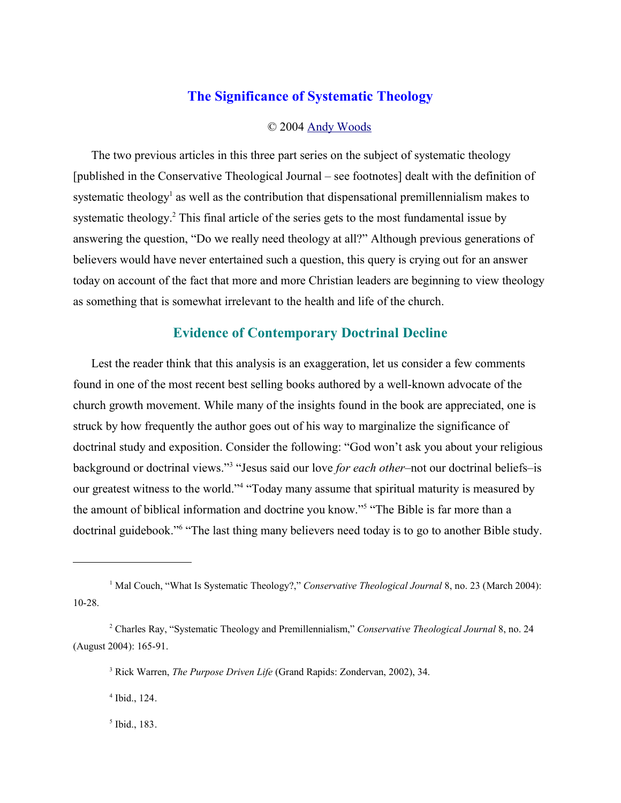## **The Significance of Systematic Theology**

#### © 2004 Andy Woods

The two previous articles in this three part series on the subject of systematic theology [published in the Conservative Theological Journal – see footnotes] dealt with the definition of systematic theology<sup>1</sup> as well as the contribution that dispensational premillennialism makes to systematic theology.<sup>2</sup> This final article of the series gets to the most fundamental issue by answering the question, "Do we really need theology at all?" Although previous generations of believers would have never entertained such a question, this query is crying out for an answer today on account of the fact that more and more Christian leaders are beginning to view theology as something that is somewhat irrelevant to the health and life of the church.

### **Evidence of Contemporary Doctrinal Decline**

Lest the reader think that this analysis is an exaggeration, let us consider a few comments found in one of the most recent best selling books authored by a well-known advocate of the church growth movement. While many of the insights found in the book are appreciated, one is struck by how frequently the author goes out of his way to marginalize the significance of doctrinal study and exposition. Consider the following: "God won't ask you about your religious background or doctrinal views."<sup>3</sup> "Jesus said our love *for each other*–not our doctrinal beliefs–is our greatest witness to the world."<sup>4</sup> "Today many assume that spiritual maturity is measured by the amount of biblical information and doctrine you know."<sup>5</sup> "The Bible is far more than a doctrinal guidebook."<sup>6</sup> "The last thing many believers need today is to go to another Bible study.

4 Ibid., 124.

5 Ibid., 183.

<sup>&</sup>lt;sup>1</sup> Mal Couch, "What Is Systematic Theology?," *Conservative Theological Journal* 8, no. 23 (March 2004): 10-28.

<sup>2</sup> Charles Ray, "Systematic Theology and Premillennialism," *Conservative Theological Journal* 8, no. 24 (August 2004): 165-91.

<sup>3</sup> Rick Warren, *The Purpose Driven Life* (Grand Rapids: Zondervan, 2002), 34.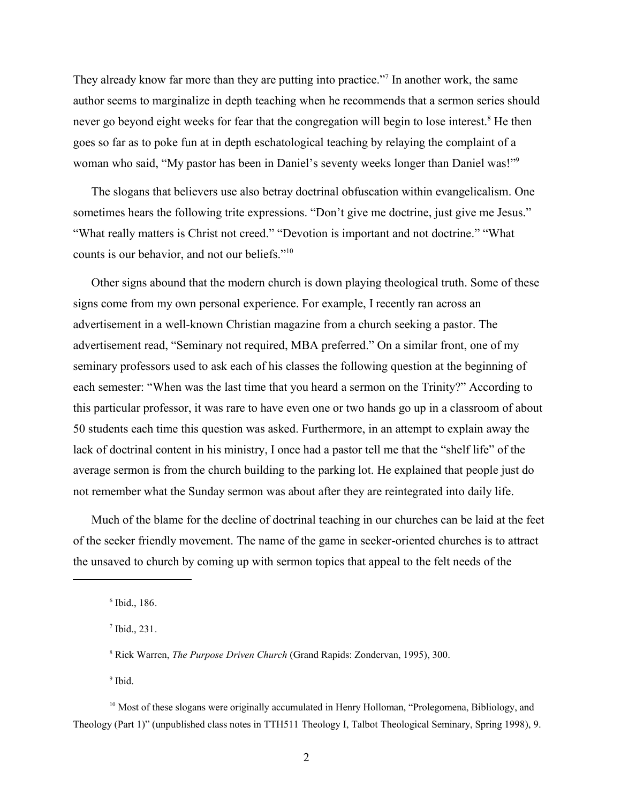They already know far more than they are putting into practice."<sup>7</sup> In another work, the same author seems to marginalize in depth teaching when he recommends that a sermon series should never go beyond eight weeks for fear that the congregation will begin to lose interest.<sup>8</sup> He then goes so far as to poke fun at in depth eschatological teaching by relaying the complaint of a woman who said, "My pastor has been in Daniel's seventy weeks longer than Daniel was!"<sup>9</sup>

The slogans that believers use also betray doctrinal obfuscation within evangelicalism. One sometimes hears the following trite expressions. "Don't give me doctrine, just give me Jesus." "What really matters is Christ not creed." "Devotion is important and not doctrine." "What counts is our behavior, and not our beliefs."<sup>10</sup>

Other signs abound that the modern church is down playing theological truth. Some of these signs come from my own personal experience. For example, I recently ran across an advertisement in a well-known Christian magazine from a church seeking a pastor. The advertisement read, "Seminary not required, MBA preferred." On a similar front, one of my seminary professors used to ask each of his classes the following question at the beginning of each semester: "When was the last time that you heard a sermon on the Trinity?" According to this particular professor, it was rare to have even one or two hands go up in a classroom of about 50 students each time this question was asked. Furthermore, in an attempt to explain away the lack of doctrinal content in his ministry, I once had a pastor tell me that the "shelf life" of the average sermon is from the church building to the parking lot. He explained that people just do not remember what the Sunday sermon was about after they are reintegrated into daily life.

Much of the blame for the decline of doctrinal teaching in our churches can be laid at the feet of the seeker friendly movement. The name of the game in seeker-oriented churches is to attract the unsaved to church by coming up with sermon topics that appeal to the felt needs of the

<sup>9</sup> Ibid.

<sup>6</sup> Ibid., 186.

<sup>7</sup> Ibid., 231.

<sup>8</sup> Rick Warren, *The Purpose Driven Church* (Grand Rapids: Zondervan, 1995), 300.

<sup>&</sup>lt;sup>10</sup> Most of these slogans were originally accumulated in Henry Holloman, "Prolegomena, Bibliology, and Theology (Part 1)" (unpublished class notes in TTH511 Theology I, Talbot Theological Seminary, Spring 1998), 9.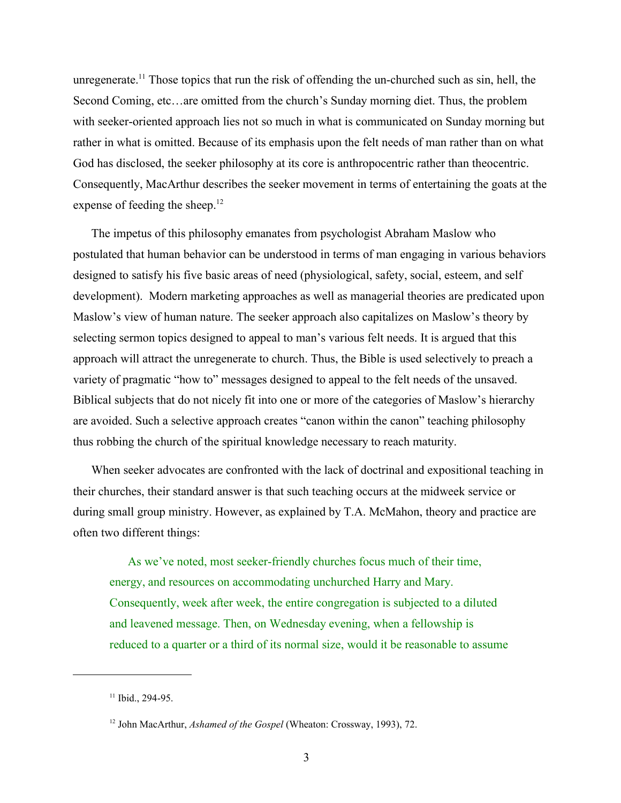unregenerate.<sup>11</sup> Those topics that run the risk of offending the un-churched such as sin, hell, the Second Coming, etc…are omitted from the church's Sunday morning diet. Thus, the problem with seeker-oriented approach lies not so much in what is communicated on Sunday morning but rather in what is omitted. Because of its emphasis upon the felt needs of man rather than on what God has disclosed, the seeker philosophy at its core is anthropocentric rather than theocentric. Consequently, MacArthur describes the seeker movement in terms of entertaining the goats at the expense of feeding the sheep.<sup>12</sup>

The impetus of this philosophy emanates from psychologist Abraham Maslow who postulated that human behavior can be understood in terms of man engaging in various behaviors designed to satisfy his five basic areas of need (physiological, safety, social, esteem, and self development). Modern marketing approaches as well as managerial theories are predicated upon Maslow's view of human nature. The seeker approach also capitalizes on Maslow's theory by selecting sermon topics designed to appeal to man's various felt needs. It is argued that this approach will attract the unregenerate to church. Thus, the Bible is used selectively to preach a variety of pragmatic "how to" messages designed to appeal to the felt needs of the unsaved. Biblical subjects that do not nicely fit into one or more of the categories of Maslow's hierarchy are avoided. Such a selective approach creates "canon within the canon" teaching philosophy thus robbing the church of the spiritual knowledge necessary to reach maturity.

When seeker advocates are confronted with the lack of doctrinal and expositional teaching in their churches, their standard answer is that such teaching occurs at the midweek service or during small group ministry. However, as explained by T.A. McMahon, theory and practice are often two different things:

As we've noted, most seeker-friendly churches focus much of their time, energy, and resources on accommodating unchurched Harry and Mary. Consequently, week after week, the entire congregation is subjected to a diluted and leavened message. Then, on Wednesday evening, when a fellowship is reduced to a quarter or a third of its normal size, would it be reasonable to assume

<sup>&</sup>lt;sup>11</sup> Ibid., 294-95.

<sup>12</sup> John MacArthur, *Ashamed of the Gospel* (Wheaton: Crossway, 1993), 72.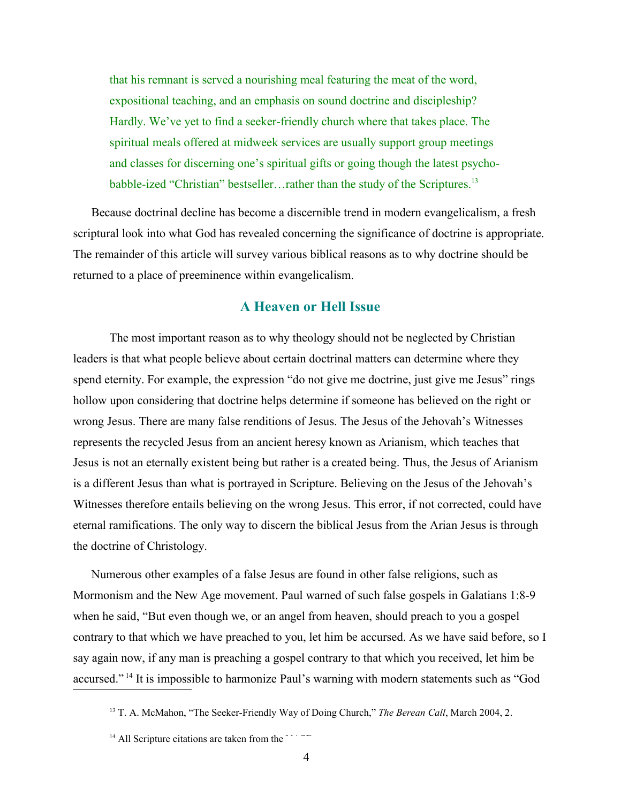that his remnant is served a nourishing meal featuring the meat of the word, expositional teaching, and an emphasis on sound doctrine and discipleship? Hardly. We've yet to find a seeker-friendly church where that takes place. The spiritual meals offered at midweek services are usually support group meetings and classes for discerning one's spiritual gifts or going though the latest psychobabble-ized "Christian" bestseller...rather than the study of the Scriptures.<sup>13</sup>

Because doctrinal decline has become a discernible trend in modern evangelicalism, a fresh scriptural look into what God has revealed concerning the significance of doctrine is appropriate. The remainder of this article will survey various biblical reasons as to why doctrine should be returned to a place of preeminence within evangelicalism.

#### **A Heaven or Hell Issue**

The most important reason as to why theology should not be neglected by Christian leaders is that what people believe about certain doctrinal matters can determine where they spend eternity. For example, the expression "do not give me doctrine, just give me Jesus" rings hollow upon considering that doctrine helps determine if someone has believed on the right or wrong Jesus. There are many false renditions of Jesus. The Jesus of the Jehovah's Witnesses represents the recycled Jesus from an ancient heresy known as Arianism, which teaches that Jesus is not an eternally existent being but rather is a created being. Thus, the Jesus of Arianism is a different Jesus than what is portrayed in Scripture. Believing on the Jesus of the Jehovah's Witnesses therefore entails believing on the wrong Jesus. This error, if not corrected, could have eternal ramifications. The only way to discern the biblical Jesus from the Arian Jesus is through the doctrine of Christology.

Numerous other examples of a false Jesus are found in other false religions, such as Mormonism and the New Age movement. Paul warned of such false gospels in Galatians 1:8-9 when he said, "But even though we, or an angel from heaven, should preach to you a gospel contrary to that which we have preached to you, let him be accursed. As we have said before, so I say again now, if any man is preaching a gospel contrary to that which you received, let him be accursed."<sup>14</sup> It is impossible to harmonize Paul's warning with modern statements such as "God

<sup>13</sup> T. A. McMahon, "The Seeker-Friendly Way of Doing Church," *The Berean Call*, March 2004, 2.

 $14$  All Scripture citations are taken from the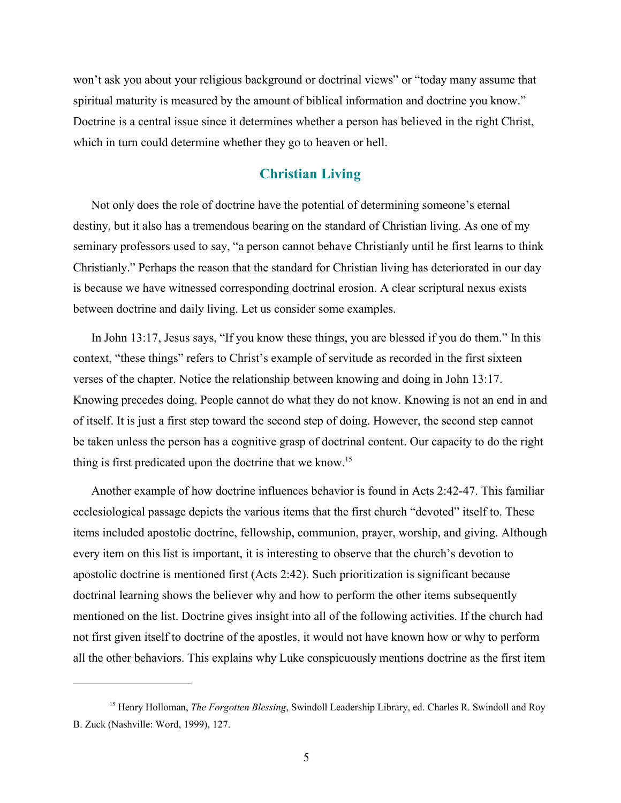won't ask you about your religious background or doctrinal views" or "today many assume that spiritual maturity is measured by the amount of biblical information and doctrine you know." Doctrine is a central issue since it determines whether a person has believed in the right Christ, which in turn could determine whether they go to heaven or hell.

# **Christian Living**

Not only does the role of doctrine have the potential of determining someone's eternal destiny, but it also has a tremendous bearing on the standard of Christian living. As one of my seminary professors used to say, "a person cannot behave Christianly until he first learns to think Christianly." Perhaps the reason that the standard for Christian living has deteriorated in our day is because we have witnessed corresponding doctrinal erosion. A clear scriptural nexus exists between doctrine and daily living. Let us consider some examples.

In John 13:17, Jesus says, "If you know these things, you are blessed if you do them." In this context, "these things" refers to Christ's example of servitude as recorded in the first sixteen verses of the chapter. Notice the relationship between knowing and doing in John 13:17. Knowing precedes doing. People cannot do what they do not know. Knowing is not an end in and of itself. It is just a first step toward the second step of doing. However, the second step cannot be taken unless the person has a cognitive grasp of doctrinal content. Our capacity to do the right thing is first predicated upon the doctrine that we know.<sup>15</sup>

Another example of how doctrine influences behavior is found in Acts 2:42-47. This familiar ecclesiological passage depicts the various items that the first church "devoted" itself to. These items included apostolic doctrine, fellowship, communion, prayer, worship, and giving. Although every item on this list is important, it is interesting to observe that the church's devotion to apostolic doctrine is mentioned first (Acts 2:42). Such prioritization is significant because doctrinal learning shows the believer why and how to perform the other items subsequently mentioned on the list. Doctrine gives insight into all of the following activities. If the church had not first given itself to doctrine of the apostles, it would not have known how or why to perform all the other behaviors. This explains why Luke conspicuously mentions doctrine as the first item

<sup>15</sup> Henry Holloman, *The Forgotten Blessing*, Swindoll Leadership Library, ed. Charles R. Swindoll and Roy B. Zuck (Nashville: Word, 1999), 127.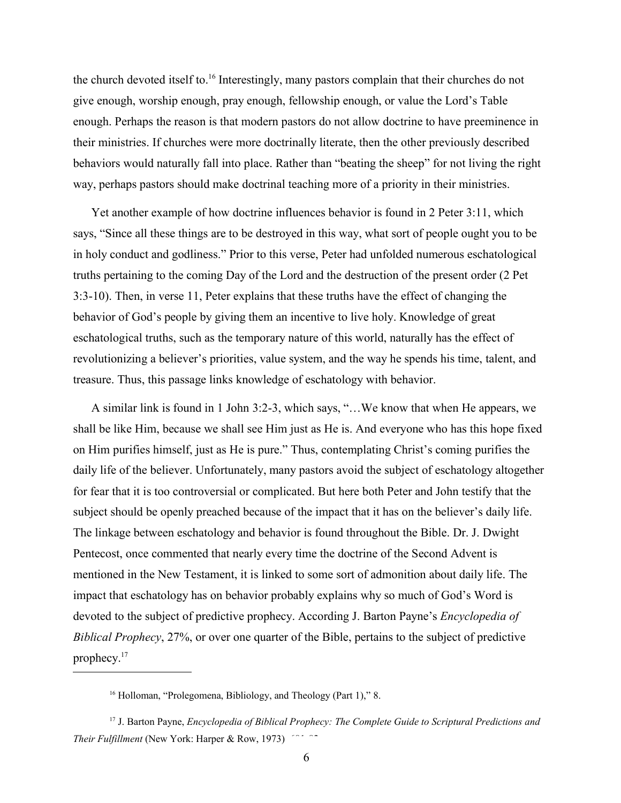the church devoted itself to.<sup>16</sup> Interestingly, many pastors complain that their churches do not give enough, worship enough, pray enough, fellowship enough, or value the Lord's Table enough. Perhaps the reason is that modern pastors do not allow doctrine to have preeminence in their ministries. If churches were more doctrinally literate, then the other previously described behaviors would naturally fall into place. Rather than "beating the sheep" for not living the right way, perhaps pastors should make doctrinal teaching more of a priority in their ministries.

Yet another example of how doctrine influences behavior is found in 2 Peter 3:11, which says, "Since all these things are to be destroyed in this way, what sort of people ought you to be in holy conduct and godliness." Prior to this verse, Peter had unfolded numerous eschatological truths pertaining to the coming Day of the Lord and the destruction of the present order (2 Pet 3:3-10). Then, in verse 11, Peter explains that these truths have the effect of changing the behavior of God's people by giving them an incentive to live holy. Knowledge of great eschatological truths, such as the temporary nature of this world, naturally has the effect of revolutionizing a believer's priorities, value system, and the way he spends his time, talent, and treasure. Thus, this passage links knowledge of eschatology with behavior.

A similar link is found in 1 John 3:2-3, which says, "…We know that when He appears, we shall be like Him, because we shall see Him just as He is. And everyone who has this hope fixed on Him purifies himself, just as He is pure." Thus, contemplating Christ's coming purifies the daily life of the believer. Unfortunately, many pastors avoid the subject of eschatology altogether for fear that it is too controversial or complicated. But here both Peter and John testify that the subject should be openly preached because of the impact that it has on the believer's daily life. The linkage between eschatology and behavior is found throughout the Bible. Dr. J. Dwight Pentecost, once commented that nearly every time the doctrine of the Second Advent is mentioned in the New Testament, it is linked to some sort of admonition about daily life. The impact that eschatology has on behavior probably explains why so much of God's Word is devoted to the subject of predictive prophecy. According J. Barton Payne's *Encyclopedia of Biblical Prophecy*, 27%, or over one quarter of the Bible, pertains to the subject of predictive prophecy.<sup>17</sup>

<sup>16</sup> Holloman, "Prolegomena, Bibliology, and Theology (Part 1)," 8.

<sup>17</sup> J. Barton Payne, *Encyclopedia of Biblical Prophecy: The Complete Guide to Scriptural Predictions and Their Fulfillment* (New York: Harper & Row, 1973)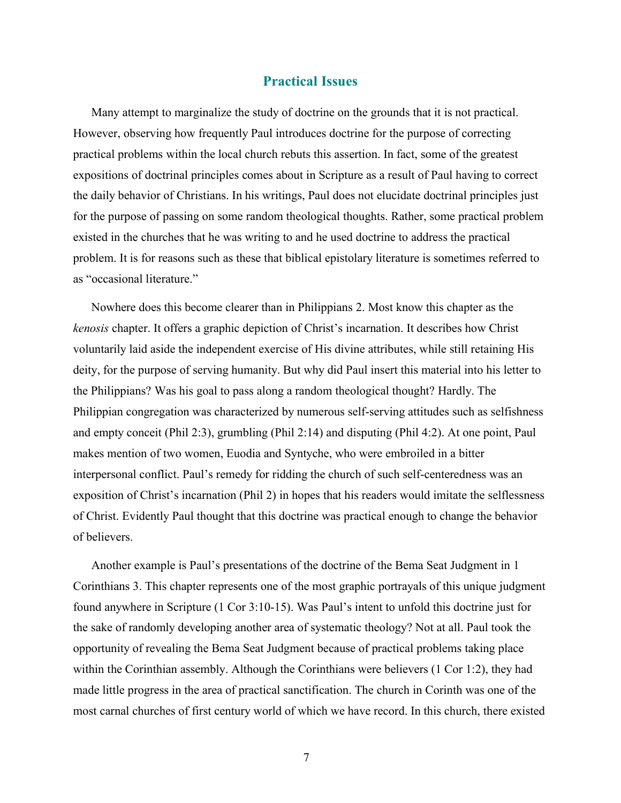#### **Practical Issues**

Many attempt to marginalize the study of doctrine on the grounds that it is not practical. However, observing how frequently Paul introduces doctrine for the purpose of correcting practical problems within the local church rebuts this assertion. In fact, some of the greatest expositions of doctrinal principles comes about in Scripture as a result of Paul having to correct the daily behavior of Christians. In his writings, Paul does not elucidate doctrinal principles just for the purpose of passing on some random theological thoughts. Rather, some practical problem existed in the churches that he was writing to and he used doctrine to address the practical problem. It is for reasons such as these that biblical epistolary literature is sometimes referred to as "occasional literature."

Nowhere does this become clearer than in Philippians 2. Most know this chapter as the *kenosis* chapter. It offers a graphic depiction of Christ's incarnation. It describes how Christ voluntarily laid aside the independent exercise of His divine attributes, while still retaining His deity, for the purpose of serving humanity. But why did Paul insert this material into his letter to the Philippians? Was his goal to pass along a random theological thought? Hardly. The Philippian congregation was characterized by numerous self-serving attitudes such as selfishness and empty conceit (Phil 2:3), grumbling (Phil 2:14) and disputing (Phil 4:2). At one point, Paul makes mention of two women, Euodia and Syntyche, who were embroiled in a bitter interpersonal conflict. Paul's remedy for ridding the church of such self-centeredness was an exposition of Christ's incarnation (Phil 2) in hopes that his readers would imitate the selflessness of Christ. Evidently Paul thought that this doctrine was practical enough to change the behavior of believers.

Another example is Paul's presentations of the doctrine of the Bema Seat Judgment in 1 Corinthians 3. This chapter represents one of the most graphic portrayals of this unique judgment found anywhere in Scripture (1 Cor 3:10-15). Was Paul's intent to unfold this doctrine just for the sake of randomly developing another area of systematic theology? Not at all. Paul took the opportunity of revealing the Bema Seat Judgment because of practical problems taking place within the Corinthian assembly. Although the Corinthians were believers (1 Cor 1:2), they had made little progress in the area of practical sanctification. The church in Corinth was one of the most carnal churches of first century world of which we have record. In this church, there existed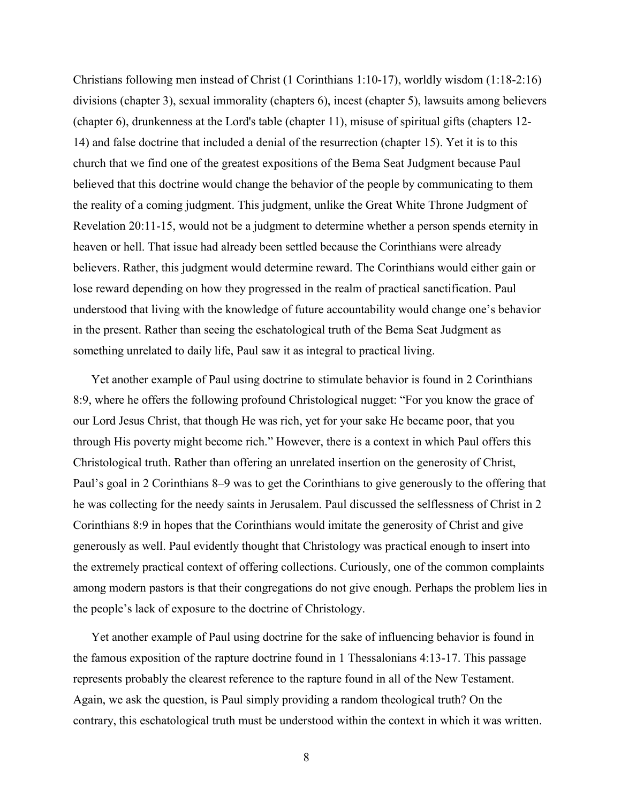Christians following men instead of Christ (1 Corinthians 1:10-17), worldly wisdom (1:18-2:16) divisions (chapter 3), sexual immorality (chapters 6), incest (chapter 5), lawsuits among believers (chapter 6), drunkenness at the Lord's table (chapter 11), misuse of spiritual gifts (chapters 12- 14) and false doctrine that included a denial of the resurrection (chapter 15). Yet it is to this church that we find one of the greatest expositions of the Bema Seat Judgment because Paul believed that this doctrine would change the behavior of the people by communicating to them the reality of a coming judgment. This judgment, unlike the Great White Throne Judgment of Revelation 20:11-15, would not be a judgment to determine whether a person spends eternity in heaven or hell. That issue had already been settled because the Corinthians were already believers. Rather, this judgment would determine reward. The Corinthians would either gain or lose reward depending on how they progressed in the realm of practical sanctification. Paul understood that living with the knowledge of future accountability would change one's behavior in the present. Rather than seeing the eschatological truth of the Bema Seat Judgment as something unrelated to daily life, Paul saw it as integral to practical living.

Yet another example of Paul using doctrine to stimulate behavior is found in 2 Corinthians 8:9, where he offers the following profound Christological nugget: "For you know the grace of our Lord Jesus Christ, that though He was rich, yet for your sake He became poor, that you through His poverty might become rich." However, there is a context in which Paul offers this Christological truth. Rather than offering an unrelated insertion on the generosity of Christ, Paul's goal in 2 Corinthians 8–9 was to get the Corinthians to give generously to the offering that he was collecting for the needy saints in Jerusalem. Paul discussed the selflessness of Christ in 2 Corinthians 8:9 in hopes that the Corinthians would imitate the generosity of Christ and give generously as well. Paul evidently thought that Christology was practical enough to insert into the extremely practical context of offering collections. Curiously, one of the common complaints among modern pastors is that their congregations do not give enough. Perhaps the problem lies in the people's lack of exposure to the doctrine of Christology.

Yet another example of Paul using doctrine for the sake of influencing behavior is found in the famous exposition of the rapture doctrine found in 1 Thessalonians 4:13-17. This passage represents probably the clearest reference to the rapture found in all of the New Testament. Again, we ask the question, is Paul simply providing a random theological truth? On the contrary, this eschatological truth must be understood within the context in which it was written.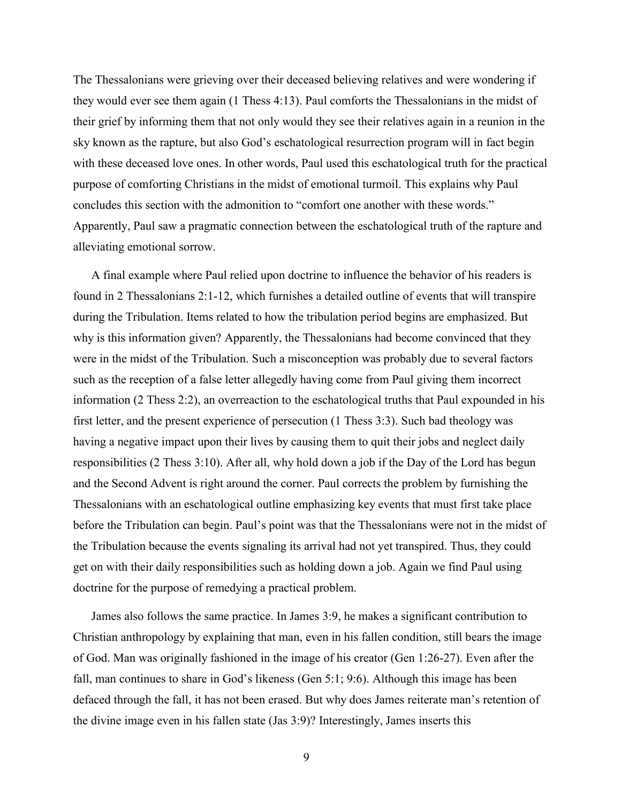The Thessalonians were grieving over their deceased believing relatives and were wondering if they would ever see them again (1 Thess 4:13). Paul comforts the Thessalonians in the midst of their grief by informing them that not only would they see their relatives again in a reunion in the sky known as the rapture, but also God's eschatological resurrection program will in fact begin with these deceased love ones. In other words, Paul used this eschatological truth for the practical purpose of comforting Christians in the midst of emotional turmoil. This explains why Paul concludes this section with the admonition to "comfort one another with these words." Apparently, Paul saw a pragmatic connection between the eschatological truth of the rapture and alleviating emotional sorrow.

A final example where Paul relied upon doctrine to influence the behavior of his readers is found in 2 Thessalonians 2:1-12, which furnishes a detailed outline of events that will transpire during the Tribulation. Items related to how the tribulation period begins are emphasized. But why is this information given? Apparently, the Thessalonians had become convinced that they were in the midst of the Tribulation. Such a misconception was probably due to several factors such as the reception of a false letter allegedly having come from Paul giving them incorrect information (2 Thess 2:2), an overreaction to the eschatological truths that Paul expounded in his first letter, and the present experience of persecution (1 Thess 3:3). Such bad theology was having a negative impact upon their lives by causing them to quit their jobs and neglect daily responsibilities (2 Thess 3:10). After all, why hold down a job if the Day of the Lord has begun and the Second Advent is right around the corner. Paul corrects the problem by furnishing the Thessalonians with an eschatological outline emphasizing key events that must first take place before the Tribulation can begin. Paul's point was that the Thessalonians were not in the midst of the Tribulation because the events signaling its arrival had not yet transpired. Thus, they could get on with their daily responsibilities such as holding down a job. Again we find Paul using doctrine for the purpose of remedying a practical problem.

James also follows the same practice. In James 3:9, he makes a significant contribution to Christian anthropology by explaining that man, even in his fallen condition, still bears the image of God. Man was originally fashioned in the image of his creator (Gen 1:26-27). Even after the fall, man continues to share in God's likeness (Gen 5:1; 9:6). Although this image has been defaced through the fall, it has not been erased. But why does James reiterate man's retention of the divine image even in his fallen state (Jas 3:9)? Interestingly, James inserts this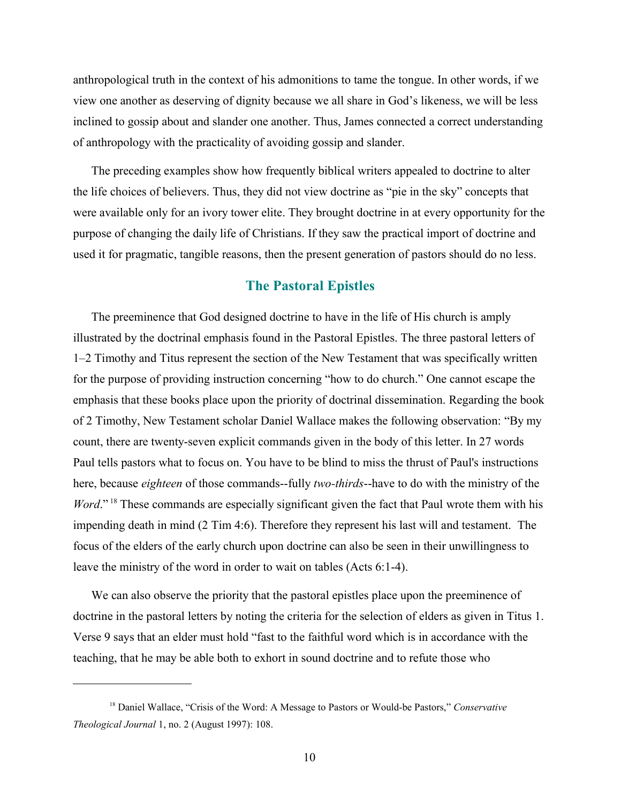anthropological truth in the context of his admonitions to tame the tongue. In other words, if we view one another as deserving of dignity because we all share in God's likeness, we will be less inclined to gossip about and slander one another. Thus, James connected a correct understanding of anthropology with the practicality of avoiding gossip and slander.

The preceding examples show how frequently biblical writers appealed to doctrine to alter the life choices of believers. Thus, they did not view doctrine as "pie in the sky" concepts that were available only for an ivory tower elite. They brought doctrine in at every opportunity for the purpose of changing the daily life of Christians. If they saw the practical import of doctrine and used it for pragmatic, tangible reasons, then the present generation of pastors should do no less.

## **The Pastoral Epistles**

The preeminence that God designed doctrine to have in the life of His church is amply illustrated by the doctrinal emphasis found in the Pastoral Epistles. The three pastoral letters of 1–2 Timothy and Titus represent the section of the New Testament that was specifically written for the purpose of providing instruction concerning "how to do church." One cannot escape the emphasis that these books place upon the priority of doctrinal dissemination. Regarding the book of 2 Timothy, New Testament scholar Daniel Wallace makes the following observation: "By my count, there are twenty-seven explicit commands given in the body of this letter. In 27 words Paul tells pastors what to focus on. You have to be blind to miss the thrust of Paul's instructions here, because *eighteen* of those commands--fully *two-thirds*--have to do with the ministry of the *Word*."<sup>18</sup> These commands are especially significant given the fact that Paul wrote them with his impending death in mind (2 Tim 4:6). Therefore they represent his last will and testament. The focus of the elders of the early church upon doctrine can also be seen in their unwillingness to leave the ministry of the word in order to wait on tables (Acts 6:1-4).

We can also observe the priority that the pastoral epistles place upon the preeminence of doctrine in the pastoral letters by noting the criteria for the selection of elders as given in Titus 1. Verse 9 says that an elder must hold "fast to the faithful word which is in accordance with the teaching, that he may be able both to exhort in sound doctrine and to refute those who

<sup>18</sup> Daniel Wallace, "Crisis of the Word: A Message to Pastors or Would-be Pastors," *Conservative Theological Journal* 1, no. 2 (August 1997): 108.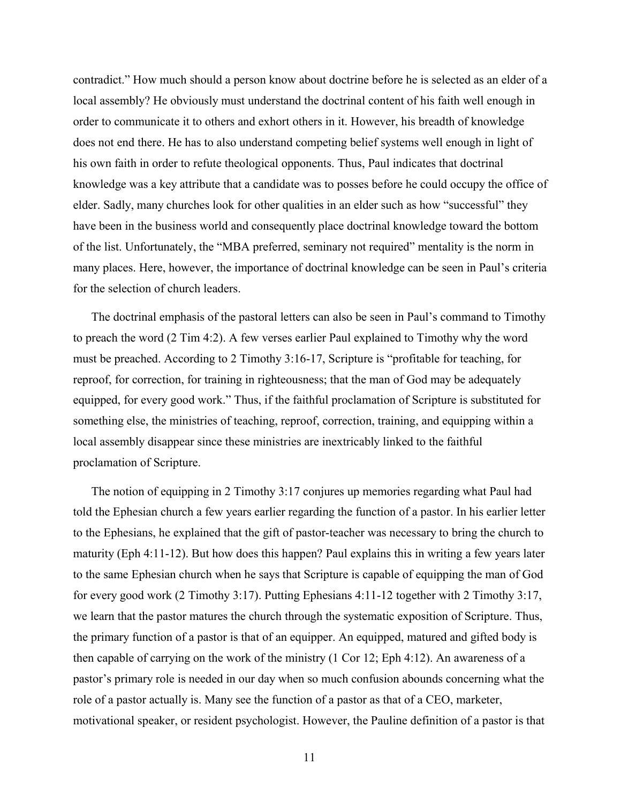contradict." How much should a person know about doctrine before he is selected as an elder of a local assembly? He obviously must understand the doctrinal content of his faith well enough in order to communicate it to others and exhort others in it. However, his breadth of knowledge does not end there. He has to also understand competing belief systems well enough in light of his own faith in order to refute theological opponents. Thus, Paul indicates that doctrinal knowledge was a key attribute that a candidate was to posses before he could occupy the office of elder. Sadly, many churches look for other qualities in an elder such as how "successful" they have been in the business world and consequently place doctrinal knowledge toward the bottom of the list. Unfortunately, the "MBA preferred, seminary not required" mentality is the norm in many places. Here, however, the importance of doctrinal knowledge can be seen in Paul's criteria for the selection of church leaders.

The doctrinal emphasis of the pastoral letters can also be seen in Paul's command to Timothy to preach the word (2 Tim 4:2). A few verses earlier Paul explained to Timothy why the word must be preached. According to 2 Timothy 3:16-17, Scripture is "profitable for teaching, for reproof, for correction, for training in righteousness; that the man of God may be adequately equipped, for every good work." Thus, if the faithful proclamation of Scripture is substituted for something else, the ministries of teaching, reproof, correction, training, and equipping within a local assembly disappear since these ministries are inextricably linked to the faithful proclamation of Scripture.

The notion of equipping in 2 Timothy 3:17 conjures up memories regarding what Paul had told the Ephesian church a few years earlier regarding the function of a pastor. In his earlier letter to the Ephesians, he explained that the gift of pastor-teacher was necessary to bring the church to maturity (Eph 4:11-12). But how does this happen? Paul explains this in writing a few years later to the same Ephesian church when he says that Scripture is capable of equipping the man of God for every good work (2 Timothy 3:17). Putting Ephesians 4:11-12 together with 2 Timothy 3:17, we learn that the pastor matures the church through the systematic exposition of Scripture. Thus, the primary function of a pastor is that of an equipper. An equipped, matured and gifted body is then capable of carrying on the work of the ministry (1 Cor 12; Eph 4:12). An awareness of a pastor's primary role is needed in our day when so much confusion abounds concerning what the role of a pastor actually is. Many see the function of a pastor as that of a CEO, marketer, motivational speaker, or resident psychologist. However, the Pauline definition of a pastor is that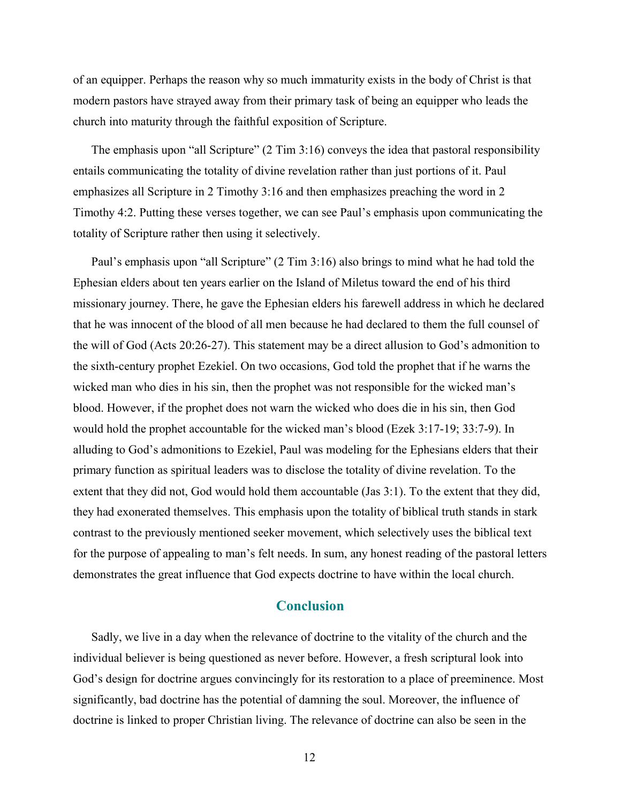of an equipper. Perhaps the reason why so much immaturity exists in the body of Christ is that modern pastors have strayed away from their primary task of being an equipper who leads the church into maturity through the faithful exposition of Scripture.

The emphasis upon "all Scripture" (2 Tim 3:16) conveys the idea that pastoral responsibility entails communicating the totality of divine revelation rather than just portions of it. Paul emphasizes all Scripture in 2 Timothy 3:16 and then emphasizes preaching the word in 2 Timothy 4:2. Putting these verses together, we can see Paul's emphasis upon communicating the totality of Scripture rather then using it selectively.

Paul's emphasis upon "all Scripture" (2 Tim 3:16) also brings to mind what he had told the Ephesian elders about ten years earlier on the Island of Miletus toward the end of his third missionary journey. There, he gave the Ephesian elders his farewell address in which he declared that he was innocent of the blood of all men because he had declared to them the full counsel of the will of God (Acts 20:26-27). This statement may be a direct allusion to God's admonition to the sixth-century prophet Ezekiel. On two occasions, God told the prophet that if he warns the wicked man who dies in his sin, then the prophet was not responsible for the wicked man's blood. However, if the prophet does not warn the wicked who does die in his sin, then God would hold the prophet accountable for the wicked man's blood (Ezek 3:17-19; 33:7-9). In alluding to God's admonitions to Ezekiel, Paul was modeling for the Ephesians elders that their primary function as spiritual leaders was to disclose the totality of divine revelation. To the extent that they did not, God would hold them accountable (Jas 3:1). To the extent that they did, they had exonerated themselves. This emphasis upon the totality of biblical truth stands in stark contrast to the previously mentioned seeker movement, which selectively uses the biblical text for the purpose of appealing to man's felt needs. In sum, any honest reading of the pastoral letters demonstrates the great influence that God expects doctrine to have within the local church.

#### **Conclusion**

Sadly, we live in a day when the relevance of doctrine to the vitality of the church and the individual believer is being questioned as never before. However, a fresh scriptural look into God's design for doctrine argues convincingly for its restoration to a place of preeminence. Most significantly, bad doctrine has the potential of damning the soul. Moreover, the influence of doctrine is linked to proper Christian living. The relevance of doctrine can also be seen in the